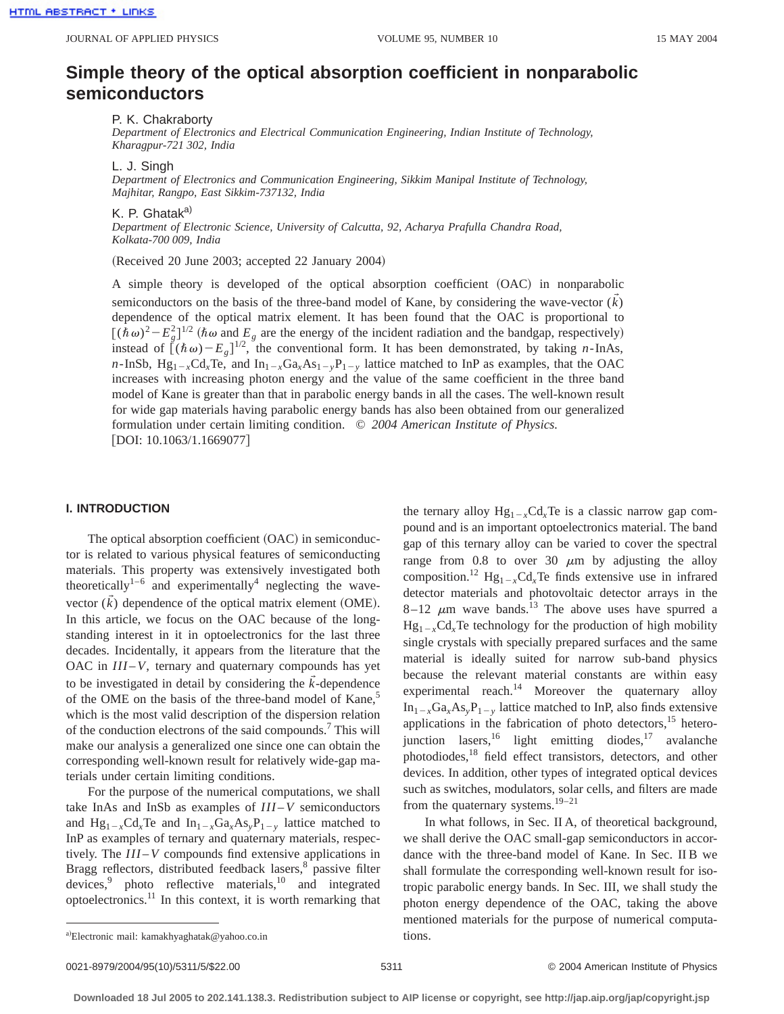# **Simple theory of the optical absorption coefficient in nonparabolic semiconductors**

P. K. Chakraborty

*Department of Electronics and Electrical Communication Engineering, Indian Institute of Technology, Kharagpur-721 302, India*

L. J. Singh

*Department of Electronics and Communication Engineering, Sikkim Manipal Institute of Technology, Majhitar, Rangpo, East Sikkim-737132, India*

K. P. Ghatak<sup>a)</sup>

*Department of Electronic Science, University of Calcutta, 92, Acharya Prafulla Chandra Road, Kolkata-700 009, India*

(Received 20 June 2003; accepted 22 January 2004)

A simple theory is developed of the optical absorption coefficient  $(OAC)$  in nonparabolic semiconductors on the basis of the three-band model of Kane, by considering the wave-vector  $(\vec{k})$ dependence of the optical matrix element. It has been found that the OAC is proportional to  $[(\hbar \omega)^2 - E_g^2]^{1/2}$  ( $\hbar \omega$  and  $E_g$  are the energy of the incident radiation and the bandgap, respectively) instead of  $(\hat{h}\omega) - E_g]^{1/2}$ , the conventional form. It has been demonstrated, by taking *n*-InAs, *n*-InSb,  $Hg_{1-x}Cd_{x}Te_{y}$  and  $In_{1-x}Ga_{x}As_{1-y}P_{1-y}$  lattice matched to InP as examples, that the OAC increases with increasing photon energy and the value of the same coefficient in the three band model of Kane is greater than that in parabolic energy bands in all the cases. The well-known result for wide gap materials having parabolic energy bands has also been obtained from our generalized formulation under certain limiting condition. © *2004 American Institute of Physics.*  $[DOI: 10.1063/1.1669077]$ 

## **I. INTRODUCTION**

The optical absorption coefficient  $(OAC)$  in semiconductor is related to various physical features of semiconducting materials. This property was extensively investigated both theoretically<sup>1-6</sup> and experimentally<sup>4</sup> neglecting the wavevector  $(\vec{k})$  dependence of the optical matrix element (OME). In this article, we focus on the OAC because of the longstanding interest in it in optoelectronics for the last three decades. Incidentally, it appears from the literature that the OAC in  $III-V$ , ternary and quaternary compounds has yet to be investigated in detail by considering the  $\vec{k}$ -dependence of the OME on the basis of the three-band model of Kane,<sup>5</sup> which is the most valid description of the dispersion relation of the conduction electrons of the said compounds.7 This will make our analysis a generalized one since one can obtain the corresponding well-known result for relatively wide-gap materials under certain limiting conditions.

For the purpose of the numerical computations, we shall take InAs and InSb as examples of *III* –*V* semiconductors and  $Hg_{1-x}Cd_xTe$  and  $In_{1-x}Ga_xAs_yP_{1-y}$  lattice matched to InP as examples of ternary and quaternary materials, respectively. The *III* –*V* compounds find extensive applications in Bragg reflectors, distributed feedback lasers,<sup>8</sup> passive filter  $devices<sup>9</sup>$  photo reflective materials,<sup>10</sup> and integrated optoelectronics.11 In this context, it is worth remarking that the ternary alloy  $Hg_{1-x}Cd_{x}Te$  is a classic narrow gap compound and is an important optoelectronics material. The band gap of this ternary alloy can be varied to cover the spectral range from 0.8 to over 30  $\mu$ m by adjusting the alloy composition.<sup>12</sup> Hg<sub>1-x</sub>Cd<sub>x</sub>Te finds extensive use in infrared detector materials and photovoltaic detector arrays in the  $8-12$   $\mu$ m wave bands.<sup>13</sup> The above uses have spurred a  $Hg_{1-x}Cd<sub>x</sub>Te$  technology for the production of high mobility single crystals with specially prepared surfaces and the same material is ideally suited for narrow sub-band physics because the relevant material constants are within easy experimental reach. $14$  Moreover the quaternary alloy  $In_{1-x}Ga_xAs_yP_{1-y}$  lattice matched to InP, also finds extensive applications in the fabrication of photo detectors, $15$  heterojunction lasers,  $16$  light emitting diodes,  $17$  avalanche photodiodes,18 field effect transistors, detectors, and other devices. In addition, other types of integrated optical devices such as switches, modulators, solar cells, and filters are made from the quaternary systems.<sup>19–21</sup>

In what follows, in Sec. II A, of theoretical background, we shall derive the OAC small-gap semiconductors in accordance with the three-band model of Kane. In Sec. II B we shall formulate the corresponding well-known result for isotropic parabolic energy bands. In Sec. III, we shall study the photon energy dependence of the OAC, taking the above mentioned materials for the purpose of numerical computa-

a)Electronic mail: kamakhyaghatak@yahoo.co.in tions.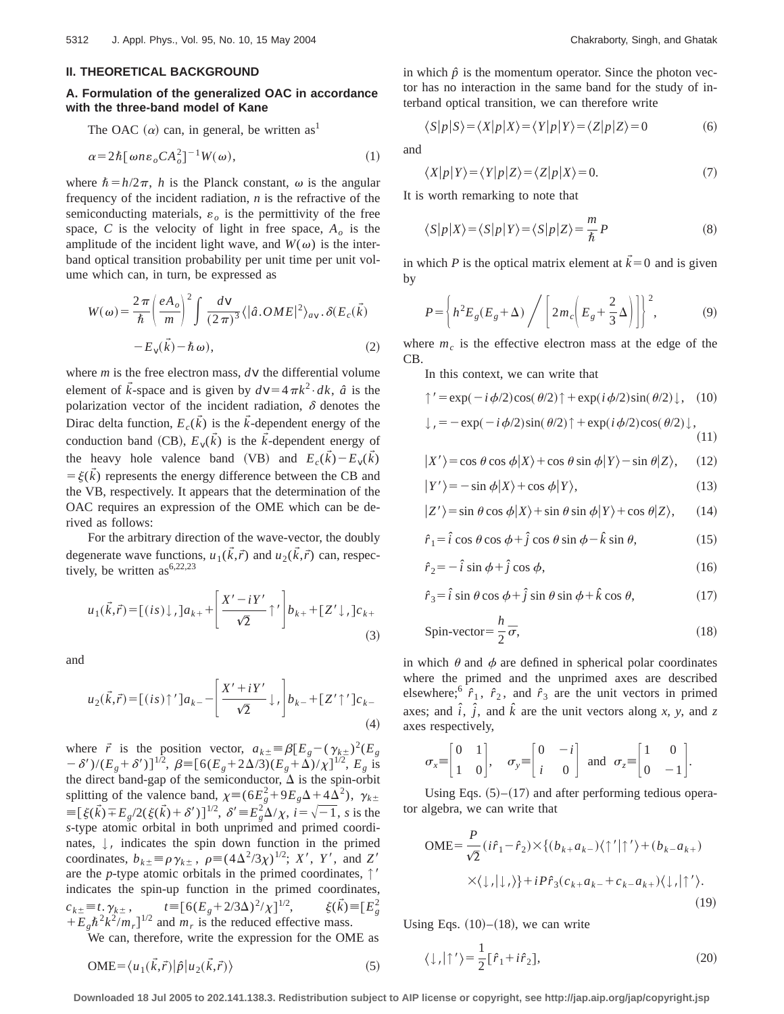#### **II. THEORETICAL BACKGROUND**

## **A. Formulation of the generalized OAC in accordance with the three-band model of Kane**

The OAC  $(\alpha)$  can, in general, be written as<sup>1</sup>

$$
\alpha = 2\hbar [\omega n \varepsilon_o C A_o^2]^{-1} W(\omega), \qquad (1)
$$

where  $\hbar = h/2\pi$ , *h* is the Planck constant,  $\omega$  is the angular frequency of the incident radiation, *n* is the refractive of the semiconducting materials,  $\varepsilon_o$  is the permittivity of the free space, *C* is the velocity of light in free space,  $A_{\rho}$  is the amplitude of the incident light wave, and  $W(\omega)$  is the interband optical transition probability per unit time per unit volume which can, in turn, be expressed as

$$
W(\omega) = \frac{2\pi}{\hbar} \left(\frac{eA_o}{m}\right)^2 \int \frac{dV}{(2\pi)^3} \langle |\hat{a}.OME|^2 \rangle_{av}. \delta(E_c(\vec{k}))
$$

$$
-E_v(\vec{k}) - \hbar \omega), \tag{2}
$$

where *m* is the free electron mass, *dv* the differential volume element of  $\vec{k}$ -space and is given by  $d\mathbf{v} = 4\pi k^2 \cdot dk$ ,  $\hat{a}$  is the polarization vector of the incident radiation,  $\delta$  denotes the Dirac delta function,  $E_c(\vec{k})$  is the  $\vec{k}$ -dependent energy of the conduction band (CB),  $E_v(\tilde{k})$  is the  $\tilde{k}$ -dependent energy of the heavy hole valence band (VB) and  $E_c(\tilde{k}) - E_v(\tilde{k})$  $= \xi(k)$  represents the energy difference between the CB and the VB, respectively. It appears that the determination of the OAC requires an expression of the OME which can be derived as follows:

For the arbitrary direction of the wave-vector, the doubly degenerate wave functions,  $u_1(\vec{k}, \vec{r})$  and  $u_2(\vec{k}, \vec{r})$  can, respectively, be written as  $6,22,23$ 

$$
u_1(\vec{k},\vec{r}) = [(is) \downarrow ]a_{k+} + \left[\frac{X'-iY'}{\sqrt{2}}\uparrow'\right]b_{k+} + [Z'\downarrow ]c_{k+} \tag{3}
$$

and

$$
u_2(\vec{k},\vec{r}) = [(is)\uparrow']a_k - \left[\frac{X' + iY'}{\sqrt{2}}\downarrow,\right]b_k - \left[\frac{Z'\uparrow']c_k}{(4)}\right]
$$

where  $\vec{r}$  is the position vector,  $a_{k\pm} \equiv \beta [E_g - (\gamma_{k\pm})^2 (E_g$  $(-\delta')/(E_g+\delta')$ <sup>1/2</sup>,  $\beta \equiv [6(E_g+2\Delta/3)(E_g+\Delta)/\chi]^{1/2}$ ,  $E_g$  is the direct band-gap of the semiconductor,  $\Delta$  is the spin-orbit splitting of the valence band,  $\chi = (6E_g^2 + 9E_g\Delta + 4\overline{\Delta}^2)$ ,  $\gamma_{k\pm}$  $\equiv [\xi(\vec{k}) \mp E_g/2(\xi(\vec{k}) + \delta')]^{1/2}, \ \delta' \equiv E_g^2 \Delta/\chi, \ i = \sqrt{-1}, \ s \text{ is the}$ *s*-type atomic orbital in both unprimed and primed coordinates,  $\downarrow$ , indicates the spin down function in the primed<br>approximates  $h = \frac{2\pi i}{\pi} \left( \frac{A\lambda^2}{3} \right)^{1/2}$ ,  $V' = V'$  and  $Z'$ coordinates,  $b_{k\pm} \equiv \rho \gamma_{k\pm}$ ,  $\rho \equiv (4\Delta^2/3\chi)^{1/2}$ ; *X'*, *Y'*, and *Z'* are the *p*-type atomic orbitals in the primed coordinates,  $\uparrow$ ' indicates the spin-up function in the primed coordinates,  $c_{k\pm} \equiv t$ .  $\gamma_{k\pm}$ ,  $t \equiv [6(E_g + 2/3\Delta)^2/\chi]^{1/2}$ , <sup>1/2</sup>,  $\xi(\vec{k}) \equiv [E_g^2]$  $+E_g\hbar^2k^2/m_r]^{1/2}$  and  $m_r$  is the reduced effective mass.

We can, therefore, write the expression for the OME as

$$
\text{OME} = \langle u_1(\vec{k}, \vec{r}) | \hat{\rho} | u_2(\vec{k}, \vec{r}) \rangle \tag{5}
$$

in which  $\hat{p}$  is the momentum operator. Since the photon vector has no interaction in the same band for the study of interband optical transition, we can therefore write

$$
\langle S|p|S\rangle = \langle X|p|X\rangle = \langle Y|p|Y\rangle = \langle Z|p|Z\rangle = 0
$$
 (6)

and

$$
\langle X|p|Y\rangle = \langle Y|p|Z\rangle = \langle Z|p|X\rangle = 0.
$$
\n(7)

It is worth remarking to note that

$$
\langle S|p|X\rangle = \langle S|p|Y\rangle = \langle S|p|Z\rangle = \frac{m}{\hbar}P
$$
\n(8)

in which *P* is the optical matrix element at  $\vec{k} = 0$  and is given by

$$
P = \left\{ h^2 E_g (E_g + \Delta) \bigg/ \left[ 2m_c \left( E_g + \frac{2}{3} \Delta \right) \right] \right\}^2, \tag{9}
$$

where  $m<sub>c</sub>$  is the effective electron mass at the edge of the CB.

In this context, we can write that

$$
\uparrow' = \exp(-i\phi/2)\cos(\theta/2)\uparrow + \exp(i\phi/2)\sin(\theta/2)\downarrow, \quad (10)
$$

$$
\downarrow
$$
, = - exp(-*i*  $\phi$ /2)sin( $\theta$ /2)  $\uparrow$  + exp(*i*  $\phi$ /2)cos( $\theta$ /2)  $\downarrow$ , (11)

$$
|X'\rangle = \cos\theta\cos\phi|X\rangle + \cos\theta\sin\phi|Y\rangle - \sin\theta|Z\rangle, \quad (12)
$$

$$
|Y'\rangle = -\sin\phi|X\rangle + \cos\phi|Y\rangle, \tag{13}
$$

$$
|Z'\rangle = \sin\theta\cos\phi|X\rangle + \sin\theta\sin\phi|Y\rangle + \cos\theta|Z\rangle, \qquad (14)
$$

$$
\hat{r}_1 = \hat{i} \cos \theta \cos \phi + \hat{j} \cos \theta \sin \phi - \hat{k} \sin \theta, \qquad (15)
$$

$$
\hat{r}_2 = -\hat{i}\sin\phi + \hat{j}\cos\phi,\tag{16}
$$

$$
\hat{r}_3 = \hat{i} \sin \theta \cos \phi + \hat{j} \sin \theta \sin \phi + \hat{k} \cos \theta, \tag{17}
$$

$$
Spin-vector = \frac{h}{2}\overline{\sigma},\tag{18}
$$

in which  $\theta$  and  $\phi$  are defined in spherical polar coordinates where the primed and the unprimed axes are described elsewhere;<sup>6</sup>  $\hat{r}_1$ ,  $\hat{r}_2$ , and  $\hat{r}_3$  are the unit vectors in primed axes; and  $\hat{i}$ ,  $\hat{j}$ , and  $\hat{k}$  are the unit vectors along *x*, *y*, and *z* axes respectively,

$$
\sigma_x \equiv \begin{bmatrix} 0 & 1 \\ 1 & 0 \end{bmatrix}, \quad \sigma_y \equiv \begin{bmatrix} 0 & -i \\ i & 0 \end{bmatrix} \text{ and } \sigma_z \equiv \begin{bmatrix} 1 & 0 \\ 0 & -1 \end{bmatrix}.
$$

Using Eqs.  $(5)$ – $(17)$  and after performing tedious operator algebra, we can write that

$$
\text{OME} = \frac{P}{\sqrt{2}} (i\hat{r}_1 - \hat{r}_2) \times \{ (b_{k+}a_{k-}) \langle \uparrow' | \uparrow' \rangle + (b_{k-}a_{k+})
$$

$$
\times \langle \downarrow , \vert \downarrow , \rangle \} + i P \hat{r}_3 (c_{k+}a_{k-} + c_{k-}a_{k+}) \langle \downarrow , \vert \uparrow' \rangle.
$$

$$
(19)
$$

Using Eqs.  $(10)$ – $(18)$ , we can write

$$
\langle \downarrow, |\uparrow'\rangle = \frac{1}{2} [\hat{r}_1 + i\hat{r}_2],\tag{20}
$$

**Downloaded 18 Jul 2005 to 202.141.138.3. Redistribution subject to AIP license or copyright, see http://jap.aip.org/jap/copyright.jsp**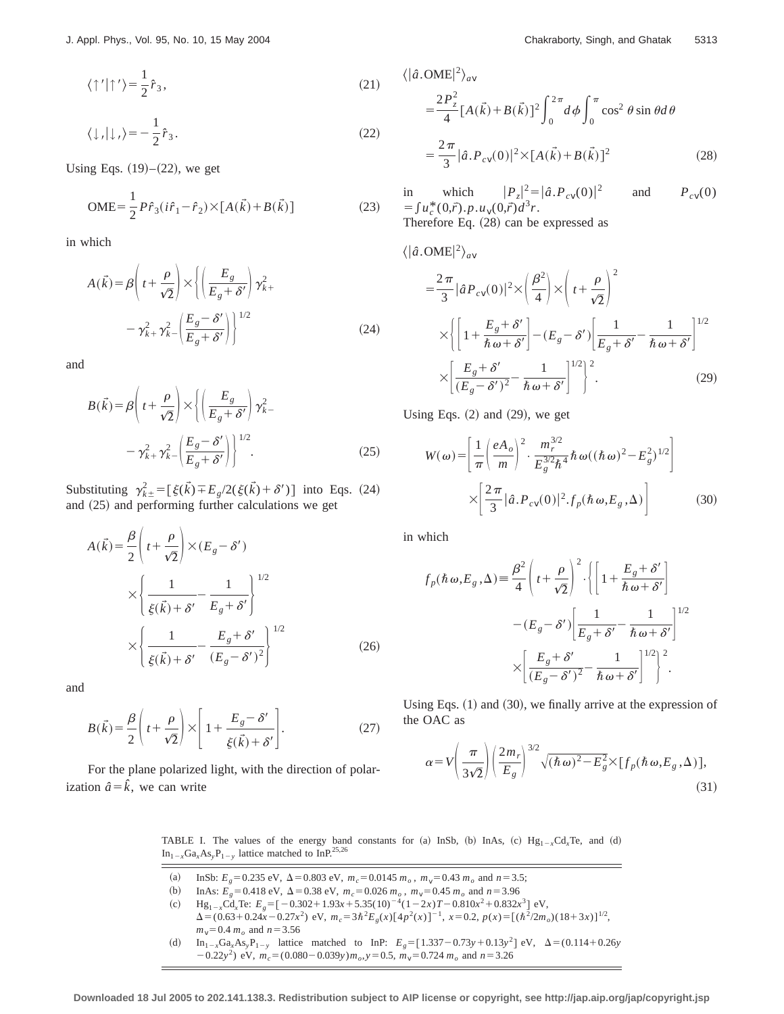$$
\langle \uparrow' | \uparrow' \rangle = \frac{1}{2} \hat{r}_3,\tag{21}
$$

$$
\langle \downarrow, |\downarrow\rangle \rangle = -\frac{1}{2}\hat{r}_3. \tag{22}
$$

Using Eqs.  $(19)–(22)$ , we get

$$
\text{OME} = \frac{1}{2} P \hat{r}_3 (i \hat{r}_1 - \hat{r}_2) \times [A(\vec{k}) + B(\vec{k})] \tag{23}
$$

in which

$$
A(\vec{k}) = \beta \left( t + \frac{\rho}{\sqrt{2}} \right) \times \left\{ \left( \frac{E_g}{E_g + \delta'} \right) \gamma_{k+}^2 - \gamma_{k+}^2 \gamma_{k-}^2 \left( \frac{E_g - \delta'}{E_g + \delta'} \right) \right\}^{1/2}
$$
(24)

and

$$
B(\vec{k}) = \beta \left( t + \frac{\rho}{\sqrt{2}} \right) \times \left\{ \left( \frac{E_g}{E_g + \delta'} \right) \gamma_{k-}^2 - \gamma_{k+}^2 \gamma_{k-}^2 \left( \frac{E_g - \delta'}{E_g + \delta'} \right) \right\}^{1/2}.
$$
 (25)

Substituting  $\gamma_{k\pm}^2 = [\xi(\vec{k}) \mp E_g/2(\xi(\vec{k}) + \delta')]$  into Eqs. (24) and  $(25)$  and performing further calculations we get

$$
A(\vec{k}) = \frac{\beta}{2} \left( t + \frac{\rho}{\sqrt{2}} \right) \times (E_g - \delta')
$$
  

$$
\times \left\{ \frac{1}{\xi(\vec{k}) + \delta'} - \frac{1}{E_g + \delta'} \right\}^{1/2}
$$
  

$$
\times \left\{ \frac{1}{\xi(\vec{k}) + \delta'} - \frac{E_g + \delta'}{(E_g - \delta')^2} \right\}^{1/2}
$$
(26)

and

$$
B(\vec{k}) = \frac{\beta}{2} \left( t + \frac{\rho}{\sqrt{2}} \right) \times \left[ 1 + \frac{E_g - \delta'}{\xi(\vec{k}) + \delta'} \right].
$$
 (27)

For the plane polarized light, with the direction of polarization  $\hat{a} = \hat{k}$ , we can write

$$
\langle |\hat{a}.\text{OME}|^2 \rangle_{av}
$$
  
=  $\frac{2P_z^2}{4} [A(\vec{k}) + B(\vec{k})]^2 \int_0^{2\pi} d\phi \int_0^{\pi} \cos^2 \theta \sin \theta d\theta$   
=  $\frac{2\pi}{3} |\hat{a}.P_{cv}(0)|^2 \times [A(\vec{k}) + B(\vec{k})]^2$  (28)

in which  $|P_z|^2 = |\hat{a} \cdot P_{cV}(0)|$ and  $P_{cv}(0)$  $=\int u_c^*(0,\vec{r}) \cdot p \cdot u_v(0,\vec{r}) d^3r.$ Therefore Eq.  $(28)$  can be expressed as

$$
\langle |\hat{a}.\text{OME}|^2 \rangle_{av}
$$
  
=  $\frac{2\pi}{3} |\hat{a} P_{c\nu}(0)|^2 \times \left(\frac{\beta^2}{4}\right) \times \left(t + \frac{\rho}{\sqrt{2}}\right)^2$   

$$
\times \left\{ \left[1 + \frac{E_g + \delta'}{\hbar \omega + \delta'}\right] - (E_g - \delta') \left[\frac{1}{E_g + \delta'} - \frac{1}{\hbar \omega + \delta'}\right]^{1/2} \right\}
$$
  

$$
\times \left[\frac{E_g + \delta'}{(E_g - \delta')^2} - \frac{1}{\hbar \omega + \delta'}\right]^{1/2} \right\}^2.
$$
 (29)

Using Eqs.  $(2)$  and  $(29)$ , we get

$$
W(\omega) = \left[ \frac{1}{\pi} \left( \frac{eA_o}{m} \right)^2 \cdot \frac{m_r^{3/2}}{E_g^{3/2} \hbar^4} \hbar \omega((\hbar \omega)^2 - E_g^2)^{1/2} \right]
$$

$$
\times \left[ \frac{2\pi}{3} |\hat{a} \cdot P_{cv}(0)|^2 \cdot f_p(\hbar \omega, E_g, \Delta) \right]
$$
(30)

in which

$$
f_p(\hbar \omega, E_g, \Delta) \equiv \frac{\beta^2}{4} \left( t + \frac{\rho}{\sqrt{2}} \right)^2 \cdot \left\{ \left[ 1 + \frac{E_g + \delta'}{\hbar \omega + \delta'} \right] - (E_g - \delta') \left[ \frac{1}{E_g + \delta'} - \frac{1}{\hbar \omega + \delta'} \right]^{1/2} \right\}
$$

$$
\times \left[ \frac{E_g + \delta'}{(E_g - \delta')^2} - \frac{1}{\hbar \omega + \delta'} \right]^{1/2} \right\}^2.
$$

Using Eqs.  $(1)$  and  $(30)$ , we finally arrive at the expression of the OAC as

$$
\alpha = V \left( \frac{\pi}{3\sqrt{2}} \right) \left( \frac{2m_r}{E_g} \right)^{3/2} \sqrt{(\hbar \omega)^2 - E_g^2} \times [f_p(\hbar \omega, E_g, \Delta)], \tag{31}
$$

TABLE I. The values of the energy band constants for (a) InSb, (b) InAs, (c)  $Hg_{1-x}Cd_xTe$ , and (d)  $In_{1-x}Ga_xAs_yP_{1-y}$  lattice matched to InP.<sup>25,26</sup>

- (a) InSb:  $E_g = 0.235 \text{ eV}$ ,  $\Delta = 0.803 \text{ eV}$ ,  $m_c = 0.0145 \, m_o$ ,  $m_v = 0.43 \, m_o$  and  $n = 3.5$ ;
- (b) InAs:  $E_g = 0.418 \text{ eV}$ ,  $\Delta = 0.38 \text{ eV}$ ,  $m_c = 0.026 m_o$ ,  $m_v = 0.45 m_o$  and  $n = 3.96$
- (c) Hg<sub>1-x</sub>Cd<sub>x</sub>Te:  $E_g = [-0.302 + 1.93x + 5.35(10)^{-4}(1-2x)T 0.810x^2 + 0.832x^3]$  eV,
- $\Delta = (0.63 + 0.24\overline{x} 0.27\overline{x^2})$  eV,  $m_c = 3\hbar^2 E_g(x)[4p^2(x)]^{-1}$ ,  $x = 0.2$ ,  $p(x) = [(\hbar^2/2m_o)(18+3x)]^{1/2}$ ,  $m_v = 0.4 m_o$  and  $n = 3.56$
- (d) In<sub>1-x</sub>Ga<sub>x</sub>As<sub>y</sub>P<sub>1-y</sub> lattice matched to InP:  $E_g = [1.337 0.73y + 0.13y^2]$  eV,  $\Delta = (0.114 + 0.26y)$  $(10-0.22y^2)$  eV,  $m_c = (0.080-0.039y)m_o$ ,  $y = 0.5$ ,  $m_v = 0.724 m_o$  and  $n = 3.26$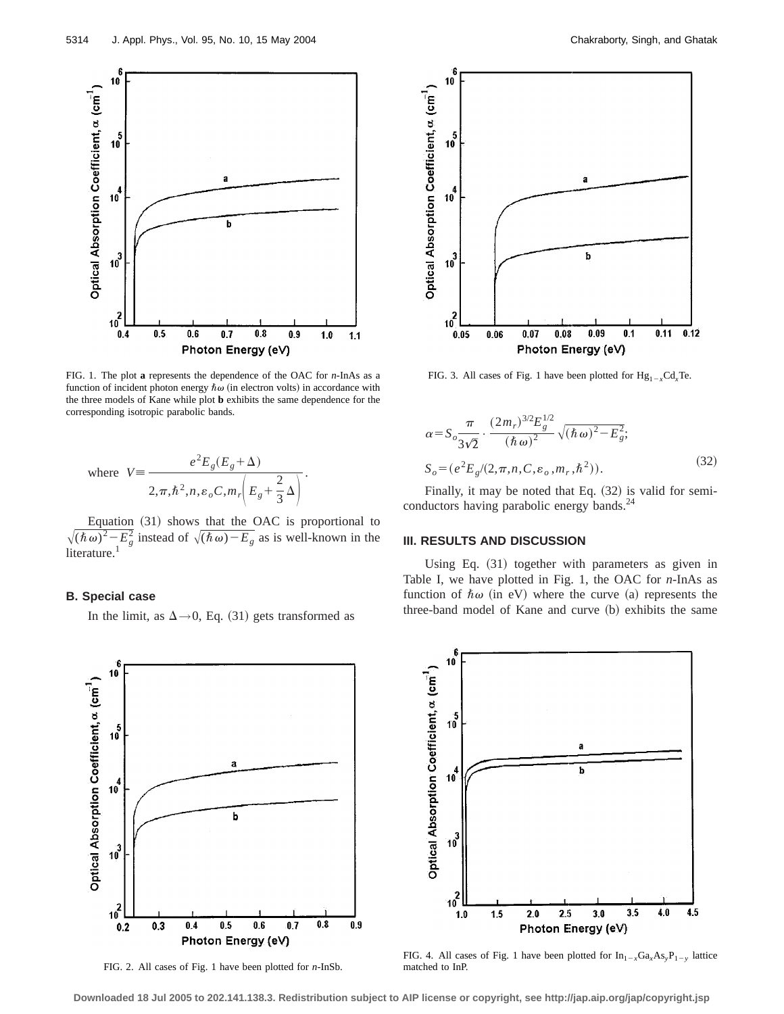

FIG. 1. The plot **a** represents the dependence of the OAC for *n*-InAs as a function of incident photon energy  $\hbar \omega$  (in electron volts) in accordance with the three models of Kane while plot **b** exhibits the same dependence for the corresponding isotropic parabolic bands.

where 
$$
V = \frac{e^2 E_g (E_g + \Delta)}{2\pi \hbar^2 n e_o C_m r \left(E_g + \frac{2}{3} \Delta\right)}.
$$

Equation  $(31)$  shows that the OAC is proportional to  $\sqrt{(\hbar \omega)^2 - E_g^2}$  instead of  $\sqrt{(\hbar \omega) - E_g}$  as is well-known in the literature.<sup>1</sup>

#### **B. Special case**

In the limit, as  $\Delta \rightarrow 0$ , Eq. (31) gets transformed as



FIG. 2. All cases of Fig. 1 have been plotted for *n*-InSb.



FIG. 3. All cases of Fig. 1 have been plotted for  $Hg_{1-x}Cd_xTe$ .

$$
\alpha = S_o \frac{\pi}{3\sqrt{2}} \cdot \frac{(2m_r)^{3/2} E_g^{1/2}}{(\hbar \omega)^2} \sqrt{(\hbar \omega)^2 - E_g^2};
$$
  
\n
$$
S_o = (e^2 E_g / (2, \pi, n, C, \varepsilon_o, m_r, \hbar^2)).
$$
\n(32)

Finally, it may be noted that Eq.  $(32)$  is valid for semiconductors having parabolic energy bands.<sup>24</sup>

## **III. RESULTS AND DISCUSSION**

Using Eq.  $(31)$  together with parameters as given in Table I, we have plotted in Fig. 1, the OAC for *n*-InAs as function of  $\hbar \omega$  (in eV) where the curve (a) represents the three-band model of Kane and curve (b) exhibits the same



FIG. 4. All cases of Fig. 1 have been plotted for  $In_{1-x}Ga_xAs_yP_{1-y}$  lattice matched to InP.

**Downloaded 18 Jul 2005 to 202.141.138.3. Redistribution subject to AIP license or copyright, see http://jap.aip.org/jap/copyright.jsp**